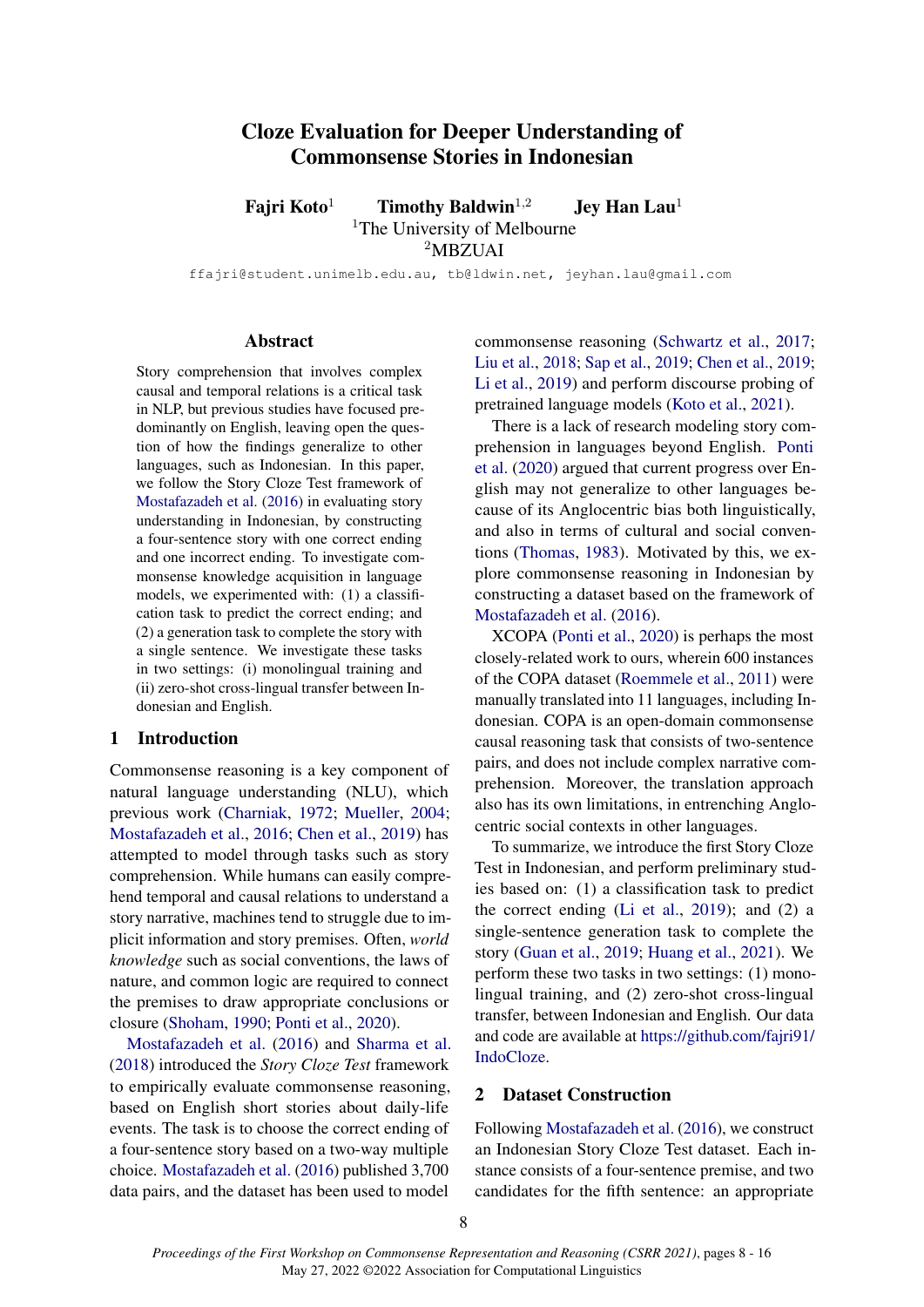# Cloze Evaluation for Deeper Understanding of Commonsense Stories in Indonesian

Fairi Koto<sup>1</sup> Timothy Baldwin<sup>1,2</sup> Jey Han Lau<sup>1</sup> <sup>1</sup>The University of Melbourne <sup>2</sup>MBZUAI

ffajri@student.unimelb.edu.au, tb@ldwin.net, jeyhan.lau@gmail.com

#### Abstract

Story comprehension that involves complex causal and temporal relations is a critical task in NLP, but previous studies have focused predominantly on English, leaving open the question of how the findings generalize to other languages, such as Indonesian. In this paper, we follow the Story Cloze Test framework of [Mostafazadeh et al.](#page-5-0) [\(2016\)](#page-5-0) in evaluating story understanding in Indonesian, by constructing a four-sentence story with one correct ending and one incorrect ending. To investigate commonsense knowledge acquisition in language models, we experimented with: (1) a classification task to predict the correct ending; and (2) a generation task to complete the story with a single sentence. We investigate these tasks in two settings: (i) monolingual training and (ii) zero-shot cross-lingual transfer between Indonesian and English.

#### 1 Introduction

Commonsense reasoning is a key component of natural language understanding (NLU), which previous work [\(Charniak,](#page-4-0) [1972;](#page-4-0) [Mueller,](#page-5-1) [2004;](#page-5-1) [Mostafazadeh et al.,](#page-5-0) [2016;](#page-5-0) [Chen et al.,](#page-5-2) [2019\)](#page-5-2) has attempted to model through tasks such as story comprehension. While humans can easily comprehend temporal and causal relations to understand a story narrative, machines tend to struggle due to implicit information and story premises. Often, *world knowledge* such as social conventions, the laws of nature, and common logic are required to connect the premises to draw appropriate conclusions or closure [\(Shoham,](#page-6-0) [1990;](#page-6-0) [Ponti et al.,](#page-5-3) [2020\)](#page-5-3).

[Mostafazadeh et al.](#page-5-0) [\(2016\)](#page-5-0) and [Sharma et al.](#page-6-1) [\(2018\)](#page-6-1) introduced the *Story Cloze Test* framework to empirically evaluate commonsense reasoning, based on English short stories about daily-life events. The task is to choose the correct ending of a four-sentence story based on a two-way multiple choice. [Mostafazadeh et al.](#page-5-0) [\(2016\)](#page-5-0) published 3,700 data pairs, and the dataset has been used to model

commonsense reasoning [\(Schwartz et al.,](#page-6-2) [2017;](#page-6-2) [Liu et al.,](#page-5-4) [2018;](#page-5-4) [Sap et al.,](#page-6-3) [2019;](#page-6-3) [Chen et al.,](#page-5-2) [2019;](#page-5-2) [Li et al.,](#page-5-5) [2019\)](#page-5-5) and perform discourse probing of pretrained language models [\(Koto et al.,](#page-5-6) [2021\)](#page-5-6).

There is a lack of research modeling story comprehension in languages beyond English. [Ponti](#page-5-3) [et al.](#page-5-3) [\(2020\)](#page-5-3) argued that current progress over English may not generalize to other languages because of its Anglocentric bias both linguistically, and also in terms of cultural and social conventions [\(Thomas,](#page-6-4) [1983\)](#page-6-4). Motivated by this, we explore commonsense reasoning in Indonesian by constructing a dataset based on the framework of [Mostafazadeh et al.](#page-5-0) [\(2016\)](#page-5-0).

XCOPA [\(Ponti et al.,](#page-5-3) [2020\)](#page-5-3) is perhaps the most closely-related work to ours, wherein 600 instances of the COPA dataset [\(Roemmele et al.,](#page-5-7) [2011\)](#page-5-7) were manually translated into 11 languages, including Indonesian. COPA is an open-domain commonsense causal reasoning task that consists of two-sentence pairs, and does not include complex narrative comprehension. Moreover, the translation approach also has its own limitations, in entrenching Anglocentric social contexts in other languages.

To summarize, we introduce the first Story Cloze Test in Indonesian, and perform preliminary studies based on: (1) a classification task to predict the correct ending [\(Li et al.,](#page-5-5) [2019\)](#page-5-5); and (2) a single-sentence generation task to complete the story [\(Guan et al.,](#page-5-8) [2019;](#page-5-8) [Huang et al.,](#page-5-9) [2021\)](#page-5-9). We perform these two tasks in two settings: (1) monolingual training, and (2) zero-shot cross-lingual transfer, between Indonesian and English. Our data and code are available at [https://github.com/fajri91/](https://github.com/fajri91/IndoCloze) [IndoCloze.](https://github.com/fajri91/IndoCloze)

### 2 Dataset Construction

Following [Mostafazadeh et al.](#page-5-0) [\(2016\)](#page-5-0), we construct an Indonesian Story Cloze Test dataset. Each instance consists of a four-sentence premise, and two candidates for the fifth sentence: an appropriate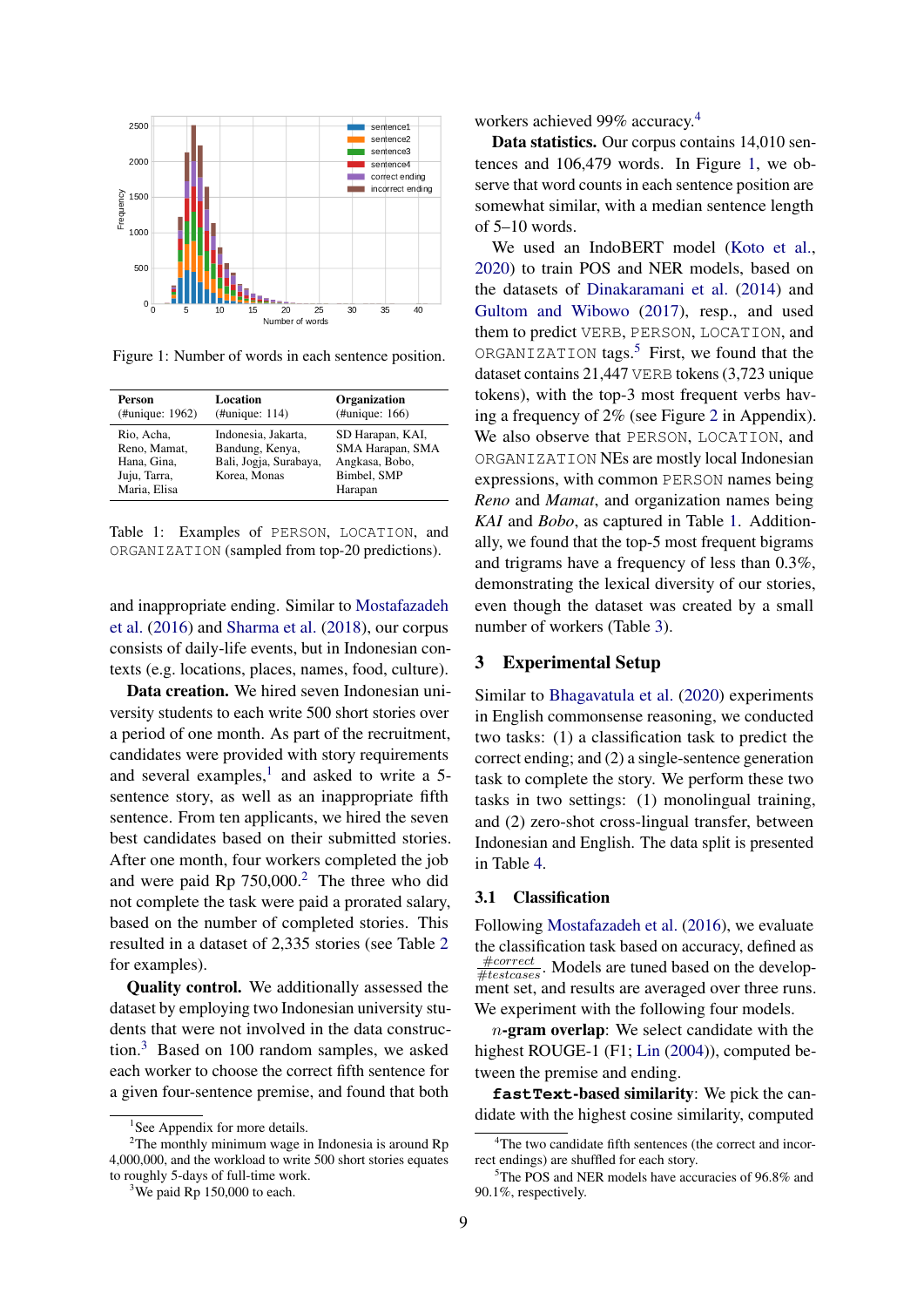<span id="page-1-4"></span>

Figure 1: Number of words in each sentence position.

<span id="page-1-6"></span>

| Person                                                                    | Location                                                                         | <b>Organization</b>                                                              |
|---------------------------------------------------------------------------|----------------------------------------------------------------------------------|----------------------------------------------------------------------------------|
| (#unique: 1962)                                                           | (Hunique: 114)                                                                   | (Hunique: 166)                                                                   |
| Rio, Acha,<br>Reno, Mamat,<br>Hana, Gina,<br>Juju, Tarra,<br>Maria, Elisa | Indonesia, Jakarta,<br>Bandung, Kenya,<br>Bali, Jogja, Surabaya,<br>Korea, Monas | SD Harapan, KAI,<br>SMA Harapan, SMA<br>Angkasa, Bobo,<br>Bimbel, SMP<br>Harapan |

Table 1: Examples of PERSON, LOCATION, and ORGANIZATION (sampled from top-20 predictions).

and inappropriate ending. Similar to [Mostafazadeh](#page-5-0) [et al.](#page-5-0) [\(2016\)](#page-5-0) and [Sharma et al.](#page-6-1) [\(2018\)](#page-6-1), our corpus consists of daily-life events, but in Indonesian contexts (e.g. locations, places, names, food, culture).

Data creation. We hired seven Indonesian university students to each write 500 short stories over a period of one month. As part of the recruitment, candidates were provided with story requirements and several examples, $<sup>1</sup>$  $<sup>1</sup>$  $<sup>1</sup>$  and asked to write a 5-</sup> sentence story, as well as an inappropriate fifth sentence. From ten applicants, we hired the seven best candidates based on their submitted stories. After one month, four workers completed the job and were paid Rp  $750,000$ .<sup>[2](#page-1-1)</sup> The three who did not complete the task were paid a prorated salary, based on the number of completed stories. This resulted in a dataset of 2,335 stories (see Table [2](#page-2-0) for examples).

Quality control. We additionally assessed the dataset by employing two Indonesian university students that were not involved in the data construction.[3](#page-1-2) Based on 100 random samples, we asked each worker to choose the correct fifth sentence for a given four-sentence premise, and found that both

workers achieved 99% accuracy.[4](#page-1-3)

Data statistics. Our corpus contains 14,010 sentences and 106,479 words. In Figure [1,](#page-1-4) we observe that word counts in each sentence position are somewhat similar, with a median sentence length of 5–10 words.

We used an IndoBERT model [\(Koto et al.,](#page-5-10) [2020\)](#page-5-10) to train POS and NER models, based on the datasets of [Dinakaramani et al.](#page-5-11) [\(2014\)](#page-5-11) and [Gultom and Wibowo](#page-5-12) [\(2017\)](#page-5-12), resp., and used them to predict VERB, PERSON, LOCATION, and ORGANIZATION tags.<sup>[5](#page-1-5)</sup> First, we found that the dataset contains 21,447 VERB tokens (3,723 unique tokens), with the top-3 most frequent verbs having a frequency of 2% (see Figure [2](#page-6-5) in Appendix). We also observe that PERSON, LOCATION, and ORGANIZATION NEs are mostly local Indonesian expressions, with common PERSON names being *Reno* and *Mamat*, and organization names being *KAI* and *Bobo*, as captured in Table [1.](#page-1-6) Additionally, we found that the top-5 most frequent bigrams and trigrams have a frequency of less than 0.3%, demonstrating the lexical diversity of our stories, even though the dataset was created by a small number of workers (Table [3\)](#page-2-1).

#### 3 Experimental Setup

Similar to [Bhagavatula et al.](#page-4-1) [\(2020\)](#page-4-1) experiments in English commonsense reasoning, we conducted two tasks: (1) a classification task to predict the correct ending; and (2) a single-sentence generation task to complete the story. We perform these two tasks in two settings: (1) monolingual training, and (2) zero-shot cross-lingual transfer, between Indonesian and English. The data split is presented in Table [4.](#page-2-2)

#### 3.1 Classification

Following [Mostafazadeh et al.](#page-5-0) [\(2016\)](#page-5-0), we evaluate the classification task based on accuracy, defined as  $\frac{\text{\#correct}}{\text{\#testcases}}$ . Models are tuned based on the development set, and results are averaged over three runs. We experiment with the following four models.

 $n$ -gram overlap: We select candidate with the highest ROUGE-1 (F1; [Lin](#page-5-13) [\(2004\)](#page-5-13)), computed between the premise and ending.

**fastText**-based similarity: We pick the candidate with the highest cosine similarity, computed

<span id="page-1-1"></span><span id="page-1-0"></span><sup>&</sup>lt;sup>1</sup>See Appendix for more details.

 $2$ The monthly minimum wage in Indonesia is around Rp 4,000,000, and the workload to write 500 short stories equates to roughly 5-days of full-time work.

<span id="page-1-2"></span><sup>&</sup>lt;sup>3</sup>We paid Rp  $150,000$  to each.

<span id="page-1-3"></span><sup>&</sup>lt;sup>4</sup>The two candidate fifth sentences (the correct and incorrect endings) are shuffled for each story.

<span id="page-1-5"></span><sup>&</sup>lt;sup>5</sup>The POS and NER models have accuracies of 96.8% and 90.1%, respectively.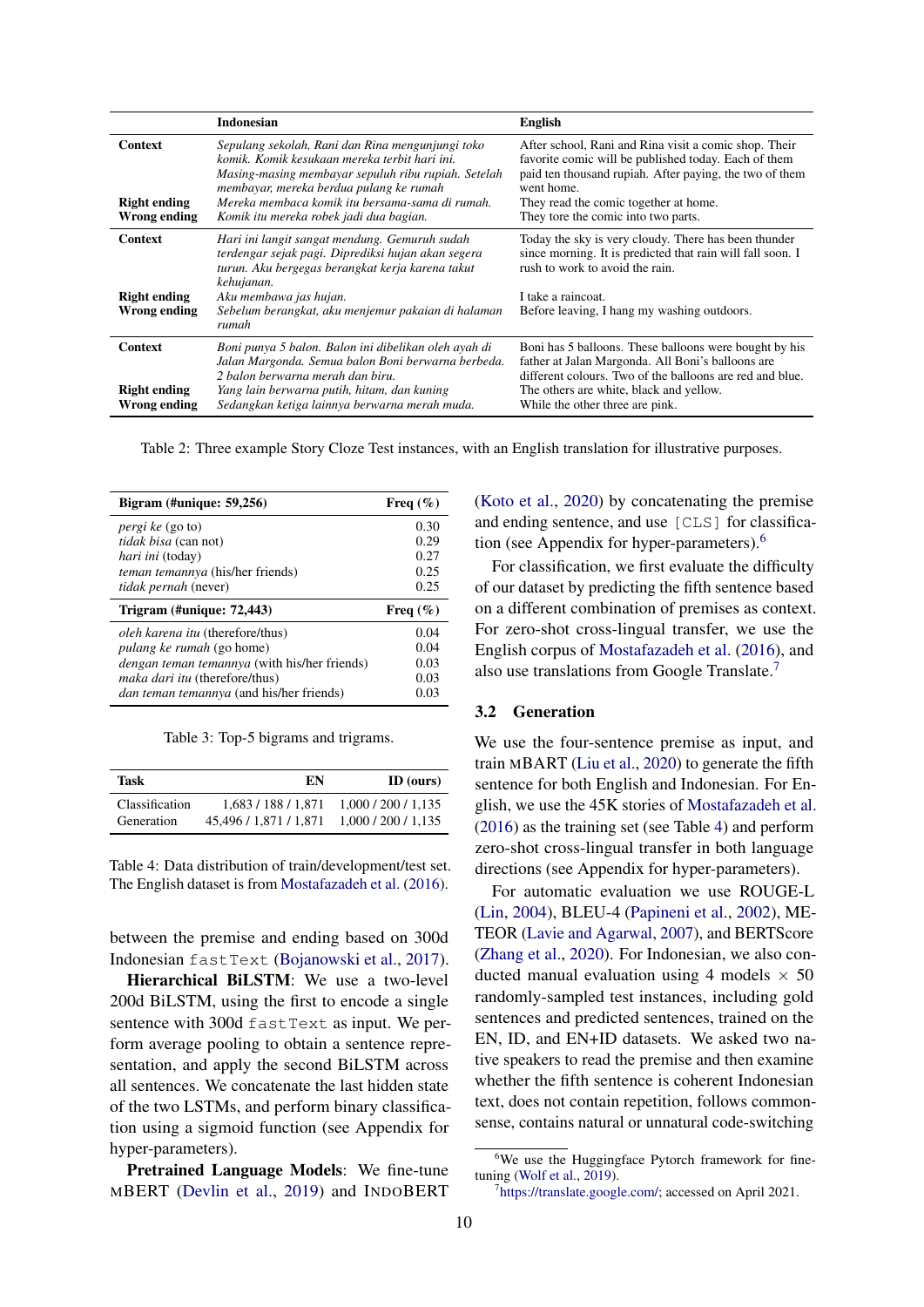<span id="page-2-0"></span>

|                                                       | <b>Indonesian</b>                                                                                                                                                                                                                                                                                 | <b>English</b>                                                                                                                                                                                                                                                         |
|-------------------------------------------------------|---------------------------------------------------------------------------------------------------------------------------------------------------------------------------------------------------------------------------------------------------------------------------------------------------|------------------------------------------------------------------------------------------------------------------------------------------------------------------------------------------------------------------------------------------------------------------------|
| <b>Context</b><br><b>Right ending</b><br>Wrong ending | Sepulang sekolah, Rani dan Rina mengunjungi toko<br>komik. Komik kesukaan mereka terbit hari ini.<br>Masing-masing membayar sepuluh ribu rupiah. Setelah<br>membayar, mereka berdua pulang ke rumah<br>Mereka membaca komik itu bersama-sama di rumah.<br>Komik itu mereka robek jadi dua bagian. | After school, Rani and Rina visit a comic shop. Their<br>favorite comic will be published today. Each of them<br>paid ten thousand rupiah. After paying, the two of them<br>went home.<br>They read the comic together at home.<br>They tore the comic into two parts. |
| <b>Context</b><br><b>Right ending</b><br>Wrong ending | Hari ini langit sangat mendung. Gemuruh sudah<br>terdengar sejak pagi. Diprediksi hujan akan segera<br>turun. Aku bergegas berangkat kerja karena takut<br>kehujanan.<br>Aku membawa jas hujan.<br>Sebelum berangkat, aku menjemur pakaian di halaman<br>rumah                                    | Today the sky is very cloudy. There has been thunder<br>since morning. It is predicted that rain will fall soon. I<br>rush to work to avoid the rain.<br>I take a raincoat.<br>Before leaving, I hang my washing outdoors.                                             |
| <b>Context</b><br><b>Right ending</b><br>Wrong ending | Boni punya 5 balon. Balon ini dibelikan oleh ayah di<br>Jalan Margonda. Semua balon Boni berwarna berbeda.<br>2 balon berwarna merah dan biru.<br>Yang lain berwarna putih, hitam, dan kuning<br>Sedangkan ketiga lainnya berwarna merah muda.                                                    | Boni has 5 balloons. These balloons were bought by his<br>father at Jalan Margonda. All Boni's balloons are<br>different colours. Two of the balloons are red and blue.<br>The others are white, black and yellow.<br>While the other three are pink.                  |

Table 2: Three example Story Cloze Test instances, with an English translation for illustrative purposes.

<span id="page-2-1"></span>

| Bigram $(\text{\#unique: } 59,256)$                 | Freq $(\%)$ |
|-----------------------------------------------------|-------------|
| <i>pergi ke</i> (go to)                             | 0.30        |
| <i>tidak bisa</i> (can not)                         | 0.29        |
| <i>hari ini</i> (today)                             | 0.27        |
| <i>teman temannya</i> (his/her friends)             | 0.25        |
| <i>tidak pernah</i> (never)                         | 0.25        |
|                                                     |             |
| Trigram $(\text{\#unique: } 72,443)$                | Freq $(\%)$ |
| <i>oleh karena itu</i> (therefore/thus)             | 0.04        |
| <i>pulang ke rumah</i> (go home)                    | 0.04        |
| <i>dengan teman temannya</i> (with his/her friends) | 0.03        |
| <i>maka dari itu</i> (therefore/thus)               | 0.03        |

Table 3: Top-5 bigrams and trigrams.

<span id="page-2-2"></span>

| Task           | EN                     | ID (ours)       |
|----------------|------------------------|-----------------|
| Classification | 1.683/188/1.871        | 1,000/200/1,135 |
| Generation     | 45.496 / 1.871 / 1.871 | 1,000/200/1,135 |

Table 4: Data distribution of train/development/test set. The English dataset is from [Mostafazadeh et al.](#page-5-0) [\(2016\)](#page-5-0).

between the premise and ending based on 300d Indonesian fastText [\(Bojanowski et al.,](#page-4-2) [2017\)](#page-4-2).

Hierarchical BiLSTM: We use a two-level 200d BiLSTM, using the first to encode a single sentence with 300d fast Text as input. We perform average pooling to obtain a sentence representation, and apply the second BiLSTM across all sentences. We concatenate the last hidden state of the two LSTMs, and perform binary classification using a sigmoid function (see Appendix for hyper-parameters).

Pretrained Language Models: We fine-tune MBERT [\(Devlin et al.,](#page-5-14) [2019\)](#page-5-14) and INDOBERT [\(Koto et al.,](#page-5-10) [2020\)](#page-5-10) by concatenating the premise and ending sentence, and use [CLS] for classification (see Appendix for hyper-parameters).[6](#page-2-3)

For classification, we first evaluate the difficulty of our dataset by predicting the fifth sentence based on a different combination of premises as context. For zero-shot cross-lingual transfer, we use the English corpus of [Mostafazadeh et al.](#page-5-0) [\(2016\)](#page-5-0), and also use translations from Google Translate.[7](#page-2-4)

#### 3.2 Generation

We use the four-sentence premise as input, and train MBART [\(Liu et al.,](#page-5-15) [2020\)](#page-5-15) to generate the fifth sentence for both English and Indonesian. For English, we use the 45K stories of [Mostafazadeh et al.](#page-5-0) [\(2016\)](#page-5-0) as the training set (see Table [4\)](#page-2-2) and perform zero-shot cross-lingual transfer in both language directions (see Appendix for hyper-parameters).

For automatic evaluation we use ROUGE-L [\(Lin,](#page-5-13) [2004\)](#page-5-13), BLEU-4 [\(Papineni et al.,](#page-5-16) [2002\)](#page-5-16), ME-TEOR [\(Lavie and Agarwal,](#page-5-17) [2007\)](#page-5-17), and BERTScore [\(Zhang et al.,](#page-6-6) [2020\)](#page-6-6). For Indonesian, we also conducted manual evaluation using 4 models  $\times$  50 randomly-sampled test instances, including gold sentences and predicted sentences, trained on the EN, ID, and EN+ID datasets. We asked two native speakers to read the premise and then examine whether the fifth sentence is coherent Indonesian text, does not contain repetition, follows commonsense, contains natural or unnatural code-switching

<span id="page-2-3"></span><sup>&</sup>lt;sup>6</sup>We use the Huggingface Pytorch framework for finetuning [\(Wolf et al.,](#page-6-7) [2019\)](#page-6-7).

<span id="page-2-4"></span><sup>7</sup> [https://translate.google.com/;](https://translate.google.com/) accessed on April 2021.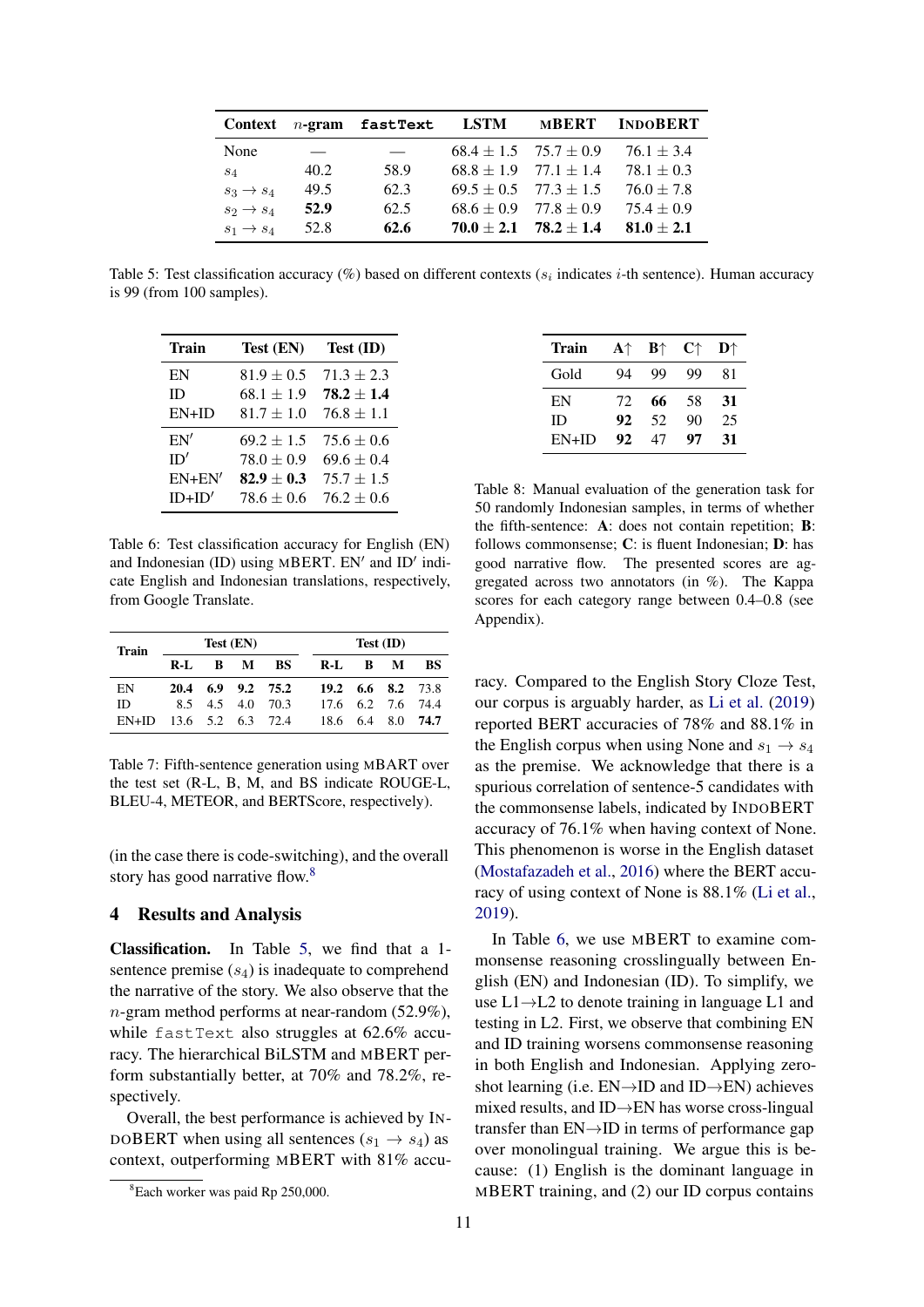<span id="page-3-1"></span>

| Context               |      | $n$ -gram fastText | LSTM | <b>MBERT</b>                  | <b>INDOBERT</b> |
|-----------------------|------|--------------------|------|-------------------------------|-----------------|
| None                  |      |                    |      | $68.4 \pm 1.5$ $75.7 \pm 0.9$ | $76.1 \pm 3.4$  |
| $S_4$                 | 40.2 | 58.9               |      | $68.8 \pm 1.9$ $77.1 \pm 1.4$ | $78.1 \pm 0.3$  |
| $s_3 \rightarrow s_4$ | 49.5 | 62.3               |      | $69.5 \pm 0.5$ $77.3 \pm 1.5$ | $76.0 \pm 7.8$  |
| $s_2 \rightarrow s_4$ | 52.9 | 62.5               |      | $68.6 \pm 0.9$ $77.8 \pm 0.9$ | $75.4 \pm 0.9$  |
| $s_1 \rightarrow s_4$ | 52.8 | 62.6               |      | $70.0 \pm 2.1$ $78.2 \pm 1.4$ | $81.0 \pm 2.1$  |

Table 5: Test classification accuracy (%) based on different contexts ( $s_i$  indicates *i*-th sentence). Human accuracy is 99 (from 100 samples).

<span id="page-3-2"></span>

| <b>Train</b> | Test (EN)      | Test (ID)      |
|--------------|----------------|----------------|
| EN           | $81.9 \pm 0.5$ | $71.3 \pm 2.3$ |
| ID           | $68.1 \pm 1.9$ | $78.2 \pm 1.4$ |
| $EN+ID$      | $81.7 \pm 1.0$ | $76.8 \pm 1.1$ |
| EN'          | $69.2 \pm 1.5$ | $75.6 \pm 0.6$ |
| ID'          | $78.0 + 0.9$   | $69.6 \pm 0.4$ |
| $EN+EN'$     | $82.9 + 0.3$   | $75.7 \pm 1.5$ |
| $ID+ID'$     | $78.6 + 0.6$   | $76.2 + 0.6$   |

Table 6: Test classification accuracy for English (EN) and Indonesian  $(ID)$  using MBERT. EN' and  $ID'$  indicate English and Indonesian translations, respectively, from Google Translate.

<span id="page-3-3"></span>

| <b>Train</b> | Test (EN)         |     |  |                   | Test (ID)         |  |                                       |
|--------------|-------------------|-----|--|-------------------|-------------------|--|---------------------------------------|
|              | R-L               | B M |  | BS.               | R-L B M           |  | BS                                    |
| EN           |                   |     |  | 20.4 6.9 9.2 75.2 |                   |  | $19.2 \quad 6.6 \quad 8.2 \quad 73.8$ |
| ID.          |                   |     |  | 8.5 4.5 4.0 70.3  | 17.6 6.2 7.6 74.4 |  |                                       |
| $EN+ID$      | 13.6 5.2 6.3 72.4 |     |  |                   |                   |  | 18.6 6.4 8.0 74.7                     |

Table 7: Fifth-sentence generation using MBART over the test set (R-L, B, M, and BS indicate ROUGE-L, BLEU-4, METEOR, and BERTScore, respectively).

(in the case there is code-switching), and the overall story has good narrative flow.[8](#page-3-0)

### 4 Results and Analysis

Classification. In Table [5,](#page-3-1) we find that a 1 sentence premise  $(s_4)$  is inadequate to comprehend the narrative of the story. We also observe that the n-gram method performs at near-random (52.9%), while fastText also struggles at 62.6% accuracy. The hierarchical BiLSTM and MBERT perform substantially better, at 70% and 78.2%, respectively.

Overall, the best performance is achieved by IN-DOBERT when using all sentences  $(s_1 \rightarrow s_4)$  as context, outperforming MBERT with 81% accu-

<span id="page-3-4"></span>

| Train     | $A \uparrow$ | $\mathbf{B} \uparrow$ | $\mathbf{C}\uparrow$ | $\mathbf{D}^{\wedge}$ |
|-----------|--------------|-----------------------|----------------------|-----------------------|
| Gold      | 94           | 99                    | 99                   | 81                    |
| EN        | 72           | 66                    | 58                   | 31                    |
| <b>ID</b> | 92           | 52                    | 90                   | 25                    |
| $EN+ID$   | 92           | 47                    | 97                   | 31                    |

Table 8: Manual evaluation of the generation task for 50 randomly Indonesian samples, in terms of whether the fifth-sentence: A: does not contain repetition; B: follows commonsense; C: is fluent Indonesian; D: has good narrative flow. The presented scores are aggregated across two annotators (in %). The Kappa scores for each category range between 0.4–0.8 (see Appendix).

racy. Compared to the English Story Cloze Test, our corpus is arguably harder, as [Li et al.](#page-5-5) [\(2019\)](#page-5-5) reported BERT accuracies of 78% and 88.1% in the English corpus when using None and  $s_1 \rightarrow s_4$ as the premise. We acknowledge that there is a spurious correlation of sentence-5 candidates with the commonsense labels, indicated by INDOBERT accuracy of 76.1% when having context of None. This phenomenon is worse in the English dataset [\(Mostafazadeh et al.,](#page-5-0) [2016\)](#page-5-0) where the BERT accuracy of using context of None is 88.1% [\(Li et al.,](#page-5-5) [2019\)](#page-5-5).

In Table [6,](#page-3-2) we use MBERT to examine commonsense reasoning crosslingually between English (EN) and Indonesian (ID). To simplify, we use L1→L2 to denote training in language L1 and testing in L2. First, we observe that combining EN and ID training worsens commonsense reasoning in both English and Indonesian. Applying zeroshot learning (i.e.  $EN\rightarrow ID$  and  $ID\rightarrow EN$ ) achieves mixed results, and ID→EN has worse cross-lingual transfer than EN→ID in terms of performance gap over monolingual training. We argue this is because: (1) English is the dominant language in MBERT training, and (2) our ID corpus contains

<span id="page-3-0"></span><sup>8</sup>Each worker was paid Rp 250,000.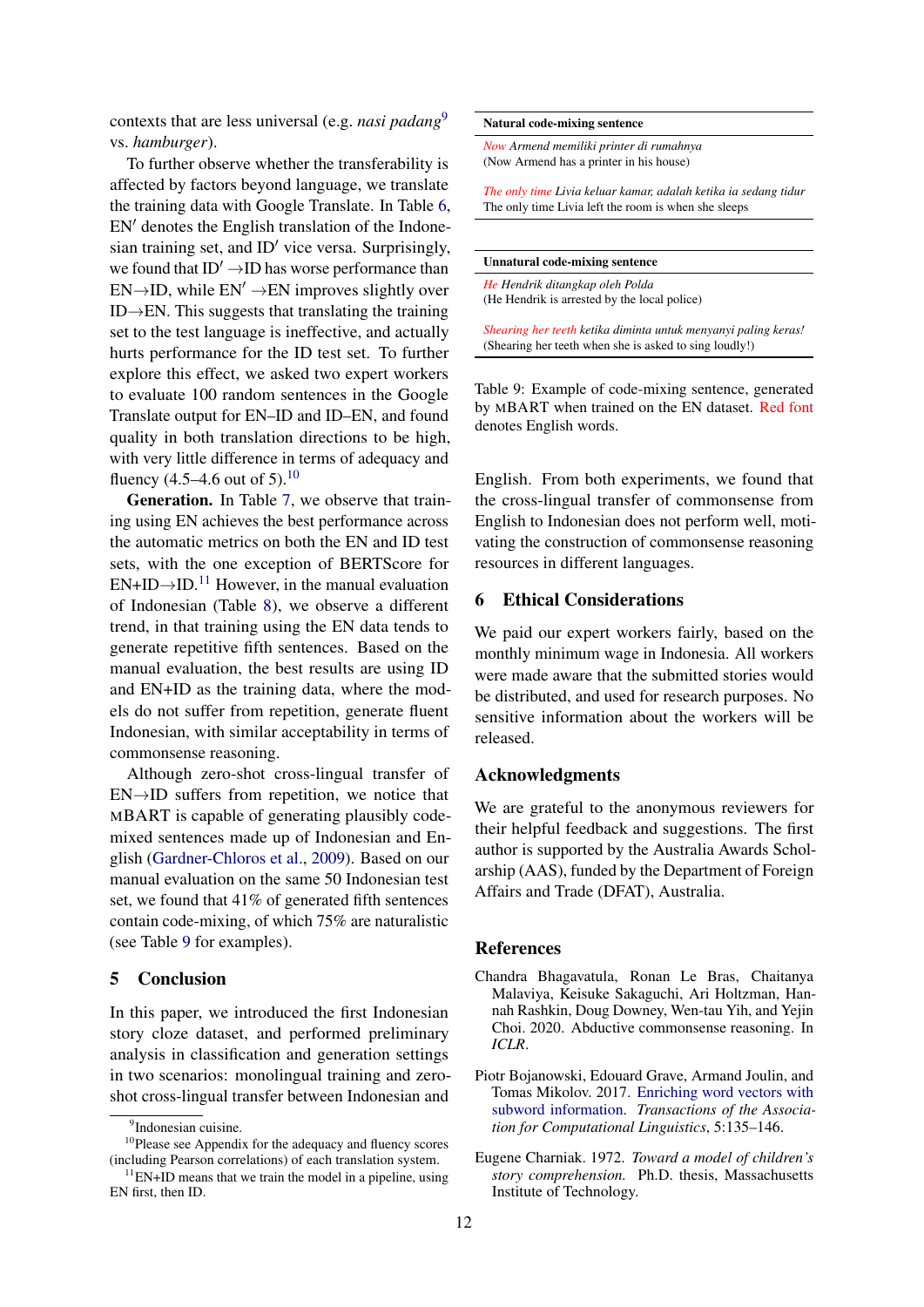contexts that are less universal (e.g. *nasi padang*[9](#page-4-3) vs. *hamburger*).

To further observe whether the transferability is affected by factors beyond language, we translate the training data with Google Translate. In Table [6,](#page-3-2)  $EN'$  denotes the English translation of the Indonesian training set, and  $ID'$  vice versa. Surprisingly, we found that  $ID' \rightarrow ID$  has worse performance than  $EN\rightarrow ID$ , while  $EN' \rightarrow EN$  improves slightly over ID $\rightarrow$ EN. This suggests that translating the training set to the test language is ineffective, and actually hurts performance for the ID test set. To further explore this effect, we asked two expert workers to evaluate 100 random sentences in the Google Translate output for EN–ID and ID–EN, and found quality in both translation directions to be high, with very little difference in terms of adequacy and fluency  $(4.5-4.6 \text{ out of } 5).^{10}$  $(4.5-4.6 \text{ out of } 5).^{10}$  $(4.5-4.6 \text{ out of } 5).^{10}$ 

Generation. In Table [7,](#page-3-3) we observe that training using EN achieves the best performance across the automatic metrics on both the EN and ID test sets, with the one exception of BERTScore for  $EN+ID\rightarrow ID$ .<sup>[11](#page-4-5)</sup> However, in the manual evaluation of Indonesian (Table [8\)](#page-3-4), we observe a different trend, in that training using the EN data tends to generate repetitive fifth sentences. Based on the manual evaluation, the best results are using ID and EN+ID as the training data, where the models do not suffer from repetition, generate fluent Indonesian, with similar acceptability in terms of commonsense reasoning.

Although zero-shot cross-lingual transfer of EN→ID suffers from repetition, we notice that MBART is capable of generating plausibly codemixed sentences made up of Indonesian and English [\(Gardner-Chloros et al.,](#page-5-18) [2009\)](#page-5-18). Based on our manual evaluation on the same 50 Indonesian test set, we found that 41% of generated fifth sentences contain code-mixing, of which 75% are naturalistic (see Table [9](#page-4-6) for examples).

#### 5 Conclusion

In this paper, we introduced the first Indonesian story cloze dataset, and performed preliminary analysis in classification and generation settings in two scenarios: monolingual training and zeroshot cross-lingual transfer between Indonesian and

#### <span id="page-4-6"></span>Natural code-mixing sentence

*Now Armend memiliki printer di rumahnya* (Now Armend has a printer in his house)

*The only time Livia keluar kamar, adalah ketika ia sedang tidur* The only time Livia left the room is when she sleeps

| <b>Unnatural code-mixing sentence</b> |  |
|---------------------------------------|--|
|---------------------------------------|--|

*He Hendrik ditangkap oleh Polda* (He Hendrik is arrested by the local police)

*Shearing her teeth ketika diminta untuk menyanyi paling keras!* (Shearing her teeth when she is asked to sing loudly!)

Table 9: Example of code-mixing sentence, generated by MBART when trained on the EN dataset. Red font denotes English words.

English. From both experiments, we found that the cross-lingual transfer of commonsense from English to Indonesian does not perform well, motivating the construction of commonsense reasoning resources in different languages.

#### 6 Ethical Considerations

We paid our expert workers fairly, based on the monthly minimum wage in Indonesia. All workers were made aware that the submitted stories would be distributed, and used for research purposes. No sensitive information about the workers will be released.

#### Acknowledgments

We are grateful to the anonymous reviewers for their helpful feedback and suggestions. The first author is supported by the Australia Awards Scholarship (AAS), funded by the Department of Foreign Affairs and Trade (DFAT), Australia.

### References

- <span id="page-4-1"></span>Chandra Bhagavatula, Ronan Le Bras, Chaitanya Malaviya, Keisuke Sakaguchi, Ari Holtzman, Hannah Rashkin, Doug Downey, Wen-tau Yih, and Yejin Choi. 2020. Abductive commonsense reasoning. In *ICLR*.
- <span id="page-4-2"></span>Piotr Bojanowski, Edouard Grave, Armand Joulin, and Tomas Mikolov. 2017. [Enriching word vectors with](https://doi.org/10.1162/tacl_a_00051) [subword information.](https://doi.org/10.1162/tacl_a_00051) *Transactions of the Association for Computational Linguistics*, 5:135–146.
- <span id="page-4-0"></span>Eugene Charniak. 1972. *Toward a model of children's story comprehension.* Ph.D. thesis, Massachusetts Institute of Technology.

<span id="page-4-4"></span><span id="page-4-3"></span><sup>&</sup>lt;sup>9</sup>Indonesian cuisine.

<sup>&</sup>lt;sup>10</sup>Please see Appendix for the adequacy and fluency scores (including Pearson correlations) of each translation system.

<span id="page-4-5"></span> $11$ EN+ID means that we train the model in a pipeline, using EN first, then ID.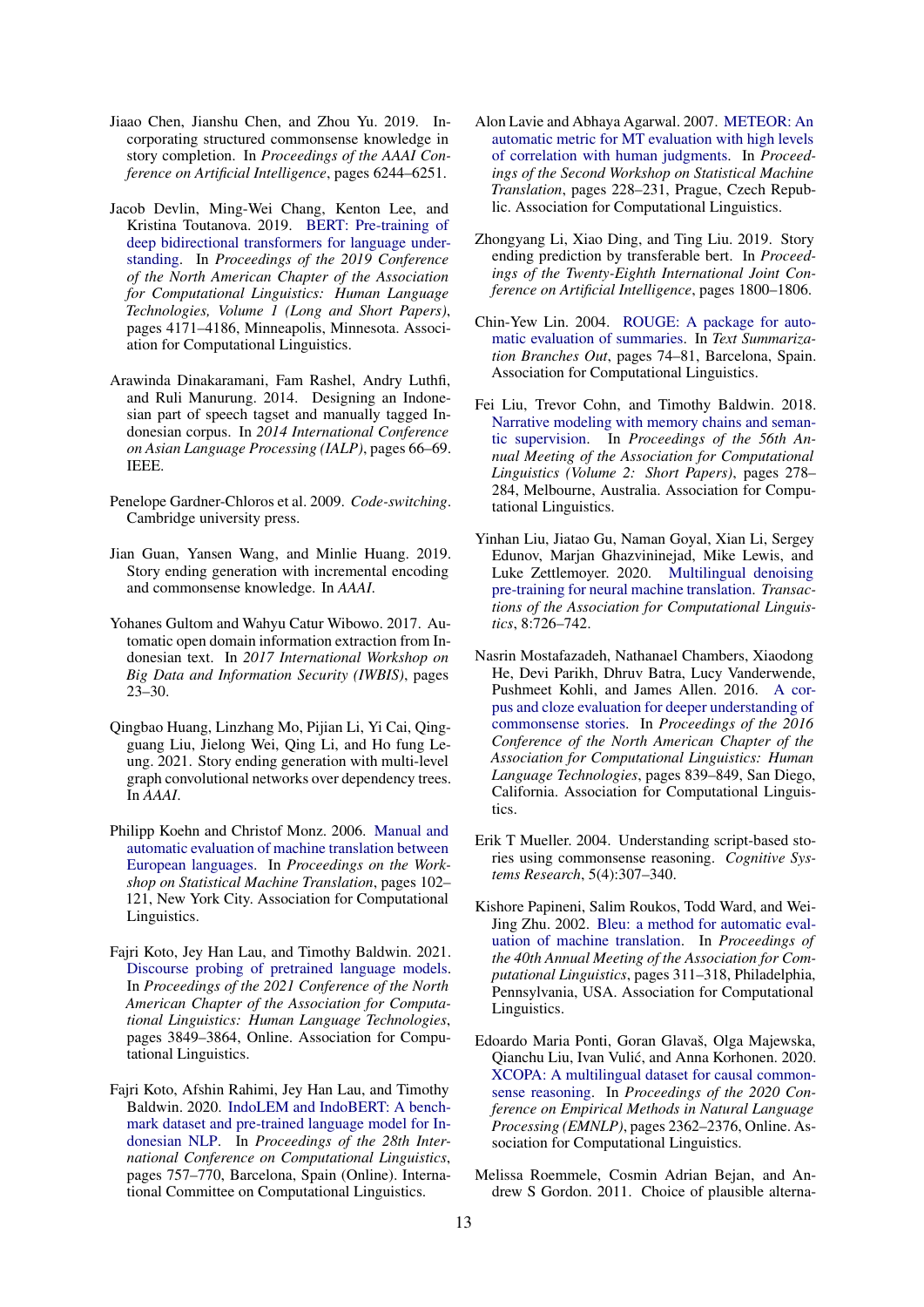- <span id="page-5-2"></span>Jiaao Chen, Jianshu Chen, and Zhou Yu. 2019. Incorporating structured commonsense knowledge in story completion. In *Proceedings of the AAAI Conference on Artificial Intelligence*, pages 6244–6251.
- <span id="page-5-14"></span>Jacob Devlin, Ming-Wei Chang, Kenton Lee, and Kristina Toutanova. 2019. [BERT: Pre-training of](https://doi.org/10.18653/v1/N19-1423) [deep bidirectional transformers for language under](https://doi.org/10.18653/v1/N19-1423)[standing.](https://doi.org/10.18653/v1/N19-1423) In *Proceedings of the 2019 Conference of the North American Chapter of the Association for Computational Linguistics: Human Language Technologies, Volume 1 (Long and Short Papers)*, pages 4171–4186, Minneapolis, Minnesota. Association for Computational Linguistics.
- <span id="page-5-11"></span>Arawinda Dinakaramani, Fam Rashel, Andry Luthfi, and Ruli Manurung. 2014. Designing an Indonesian part of speech tagset and manually tagged Indonesian corpus. In *2014 International Conference on Asian Language Processing (IALP)*, pages 66–69. IEEE.
- <span id="page-5-18"></span>Penelope Gardner-Chloros et al. 2009. *Code-switching*. Cambridge university press.
- <span id="page-5-8"></span>Jian Guan, Yansen Wang, and Minlie Huang. 2019. Story ending generation with incremental encoding and commonsense knowledge. In *AAAI*.
- <span id="page-5-12"></span>Yohanes Gultom and Wahyu Catur Wibowo. 2017. Automatic open domain information extraction from Indonesian text. In *2017 International Workshop on Big Data and Information Security (IWBIS)*, pages 23–30.
- <span id="page-5-9"></span>Qingbao Huang, Linzhang Mo, Pijian Li, Yi Cai, Qingguang Liu, Jielong Wei, Qing Li, and Ho fung Leung. 2021. Story ending generation with multi-level graph convolutional networks over dependency trees. In *AAAI*.
- <span id="page-5-19"></span>Philipp Koehn and Christof Monz. 2006. [Manual and](https://aclanthology.org/W06-3114) [automatic evaluation of machine translation between](https://aclanthology.org/W06-3114) [European languages.](https://aclanthology.org/W06-3114) In *Proceedings on the Workshop on Statistical Machine Translation*, pages 102– 121, New York City. Association for Computational Linguistics.
- <span id="page-5-6"></span>Fajri Koto, Jey Han Lau, and Timothy Baldwin. 2021. [Discourse probing of pretrained language models.](https://doi.org/10.18653/v1/2021.naacl-main.301) In *Proceedings of the 2021 Conference of the North American Chapter of the Association for Computational Linguistics: Human Language Technologies*, pages 3849–3864, Online. Association for Computational Linguistics.
- <span id="page-5-10"></span>Fajri Koto, Afshin Rahimi, Jey Han Lau, and Timothy Baldwin. 2020. [IndoLEM and IndoBERT: A bench](https://doi.org/10.18653/v1/2020.coling-main.66)[mark dataset and pre-trained language model for In](https://doi.org/10.18653/v1/2020.coling-main.66)[donesian NLP.](https://doi.org/10.18653/v1/2020.coling-main.66) In *Proceedings of the 28th International Conference on Computational Linguistics*, pages 757–770, Barcelona, Spain (Online). International Committee on Computational Linguistics.
- <span id="page-5-17"></span>Alon Lavie and Abhaya Agarwal. 2007. [METEOR: An](https://aclanthology.org/W07-0734) [automatic metric for MT evaluation with high levels](https://aclanthology.org/W07-0734) [of correlation with human judgments.](https://aclanthology.org/W07-0734) In *Proceedings of the Second Workshop on Statistical Machine Translation*, pages 228–231, Prague, Czech Republic. Association for Computational Linguistics.
- <span id="page-5-5"></span>Zhongyang Li, Xiao Ding, and Ting Liu. 2019. Story ending prediction by transferable bert. In *Proceedings of the Twenty-Eighth International Joint Conference on Artificial Intelligence*, pages 1800–1806.
- <span id="page-5-13"></span>Chin-Yew Lin. 2004. [ROUGE: A package for auto](https://aclanthology.org/W04-1013)[matic evaluation of summaries.](https://aclanthology.org/W04-1013) In *Text Summarization Branches Out*, pages 74–81, Barcelona, Spain. Association for Computational Linguistics.
- <span id="page-5-4"></span>Fei Liu, Trevor Cohn, and Timothy Baldwin. 2018. [Narrative modeling with memory chains and seman](https://doi.org/10.18653/v1/P18-2045)[tic supervision.](https://doi.org/10.18653/v1/P18-2045) In *Proceedings of the 56th Annual Meeting of the Association for Computational Linguistics (Volume 2: Short Papers)*, pages 278– 284, Melbourne, Australia. Association for Computational Linguistics.
- <span id="page-5-15"></span>Yinhan Liu, Jiatao Gu, Naman Goyal, Xian Li, Sergey Edunov, Marjan Ghazvininejad, Mike Lewis, and Luke Zettlemoyer. 2020. [Multilingual denoising](https://doi.org/10.1162/tacl_a_00343) [pre-training for neural machine translation.](https://doi.org/10.1162/tacl_a_00343) *Transactions of the Association for Computational Linguistics*, 8:726–742.
- <span id="page-5-0"></span>Nasrin Mostafazadeh, Nathanael Chambers, Xiaodong He, Devi Parikh, Dhruv Batra, Lucy Vanderwende, Pushmeet Kohli, and James Allen. 2016. [A cor](https://doi.org/10.18653/v1/N16-1098)[pus and cloze evaluation for deeper understanding of](https://doi.org/10.18653/v1/N16-1098) [commonsense stories.](https://doi.org/10.18653/v1/N16-1098) In *Proceedings of the 2016 Conference of the North American Chapter of the Association for Computational Linguistics: Human Language Technologies*, pages 839–849, San Diego, California. Association for Computational Linguistics.
- <span id="page-5-1"></span>Erik T Mueller. 2004. Understanding script-based stories using commonsense reasoning. *Cognitive Systems Research*, 5(4):307–340.
- <span id="page-5-16"></span>Kishore Papineni, Salim Roukos, Todd Ward, and Wei-Jing Zhu. 2002. [Bleu: a method for automatic eval](https://doi.org/10.3115/1073083.1073135)[uation of machine translation.](https://doi.org/10.3115/1073083.1073135) In *Proceedings of the 40th Annual Meeting of the Association for Computational Linguistics*, pages 311–318, Philadelphia, Pennsylvania, USA. Association for Computational Linguistics.
- <span id="page-5-3"></span>Edoardo Maria Ponti, Goran Glavaš, Olga Majewska, Qianchu Liu, Ivan Vulic, and Anna Korhonen. 2020. ´ [XCOPA: A multilingual dataset for causal common](https://doi.org/10.18653/v1/2020.emnlp-main.185)[sense reasoning.](https://doi.org/10.18653/v1/2020.emnlp-main.185) In *Proceedings of the 2020 Conference on Empirical Methods in Natural Language Processing (EMNLP)*, pages 2362–2376, Online. Association for Computational Linguistics.
- <span id="page-5-7"></span>Melissa Roemmele, Cosmin Adrian Bejan, and Andrew S Gordon. 2011. Choice of plausible alterna-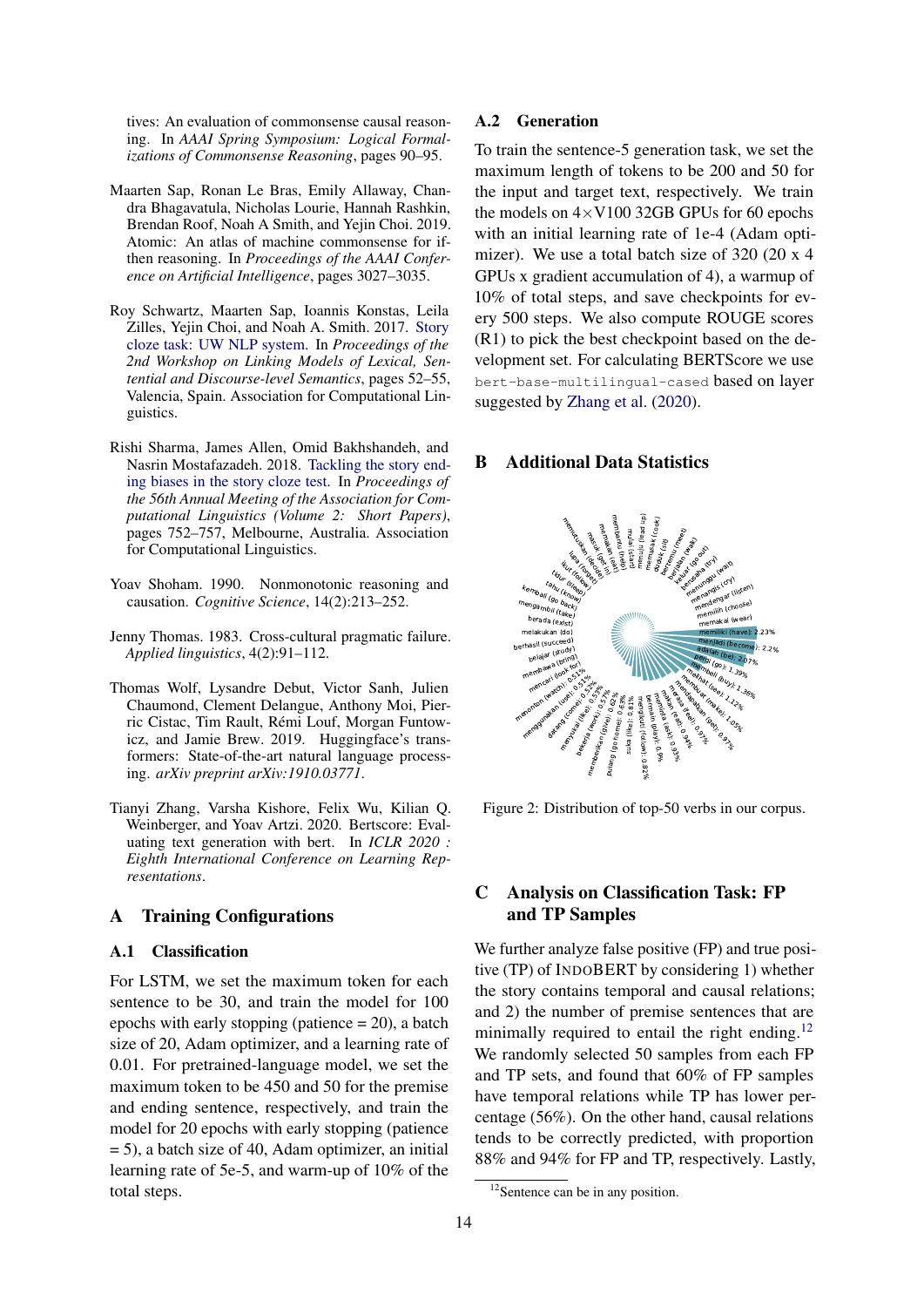tives: An evaluation of commonsense causal reasoning. In *AAAI Spring Symposium: Logical Formalizations of Commonsense Reasoning*, pages 90–95.

- <span id="page-6-3"></span>Maarten Sap, Ronan Le Bras, Emily Allaway, Chandra Bhagavatula, Nicholas Lourie, Hannah Rashkin, Brendan Roof, Noah A Smith, and Yejin Choi. 2019. Atomic: An atlas of machine commonsense for ifthen reasoning. In *Proceedings of the AAAI Conference on Artificial Intelligence*, pages 3027–3035.
- <span id="page-6-2"></span>Roy Schwartz, Maarten Sap, Ioannis Konstas, Leila Zilles, Yejin Choi, and Noah A. Smith. 2017. [Story](https://doi.org/10.18653/v1/W17-0907) [cloze task: UW NLP system.](https://doi.org/10.18653/v1/W17-0907) In *Proceedings of the 2nd Workshop on Linking Models of Lexical, Sentential and Discourse-level Semantics*, pages 52–55, Valencia, Spain. Association for Computational Linguistics.
- <span id="page-6-1"></span>Rishi Sharma, James Allen, Omid Bakhshandeh, and Nasrin Mostafazadeh. 2018. [Tackling the story end](https://doi.org/10.18653/v1/P18-2119)[ing biases in the story cloze test.](https://doi.org/10.18653/v1/P18-2119) In *Proceedings of the 56th Annual Meeting of the Association for Computational Linguistics (Volume 2: Short Papers)*, pages 752–757, Melbourne, Australia. Association for Computational Linguistics.
- <span id="page-6-0"></span>Yoav Shoham. 1990. Nonmonotonic reasoning and causation. *Cognitive Science*, 14(2):213–252.
- <span id="page-6-4"></span>Jenny Thomas. 1983. Cross-cultural pragmatic failure. *Applied linguistics*, 4(2):91–112.
- <span id="page-6-7"></span>Thomas Wolf, Lysandre Debut, Victor Sanh, Julien Chaumond, Clement Delangue, Anthony Moi, Pierric Cistac, Tim Rault, Rémi Louf, Morgan Funtowicz, and Jamie Brew. 2019. Huggingface's transformers: State-of-the-art natural language processing. *arXiv preprint arXiv:1910.03771*.
- <span id="page-6-6"></span>Tianyi Zhang, Varsha Kishore, Felix Wu, Kilian Q. Weinberger, and Yoav Artzi. 2020. Bertscore: Evaluating text generation with bert. In *ICLR 2020 : Eighth International Conference on Learning Representations*.

# A Training Configurations

#### A.1 Classification

For LSTM, we set the maximum token for each sentence to be 30, and train the model for 100 epochs with early stopping (patience = 20), a batch size of 20, Adam optimizer, and a learning rate of 0.01. For pretrained-language model, we set the maximum token to be 450 and 50 for the premise and ending sentence, respectively, and train the model for 20 epochs with early stopping (patience  $= 5$ ), a batch size of 40, Adam optimizer, an initial learning rate of 5e-5, and warm-up of 10% of the total steps.

#### A.2 Generation

To train the sentence-5 generation task, we set the maximum length of tokens to be 200 and 50 for the input and target text, respectively. We train the models on  $4 \times$ V100 32GB GPUs for 60 epochs with an initial learning rate of 1e-4 (Adam optimizer). We use a total batch size of 320 (20 x 4 GPUs x gradient accumulation of 4), a warmup of 10% of total steps, and save checkpoints for every 500 steps. We also compute ROUGE scores (R1) to pick the best checkpoint based on the development set. For calculating BERTScore we use bert-base-multilingual-cased based on layer suggested by [Zhang et al.](#page-6-6) [\(2020\)](#page-6-6).

# B Additional Data Statistics

<span id="page-6-5"></span>

Figure 2: Distribution of top-50 verbs in our corpus.

# C Analysis on Classification Task: FP and TP Samples

We further analyze false positive (FP) and true positive (TP) of INDOBERT by considering 1) whether the story contains temporal and causal relations; and 2) the number of premise sentences that are minimally required to entail the right ending.<sup>[12](#page-6-8)</sup> We randomly selected 50 samples from each FP and TP sets, and found that 60% of FP samples have temporal relations while TP has lower percentage (56%). On the other hand, causal relations tends to be correctly predicted, with proportion 88% and 94% for FP and TP, respectively. Lastly,

<span id="page-6-8"></span><sup>&</sup>lt;sup>12</sup>Sentence can be in any position.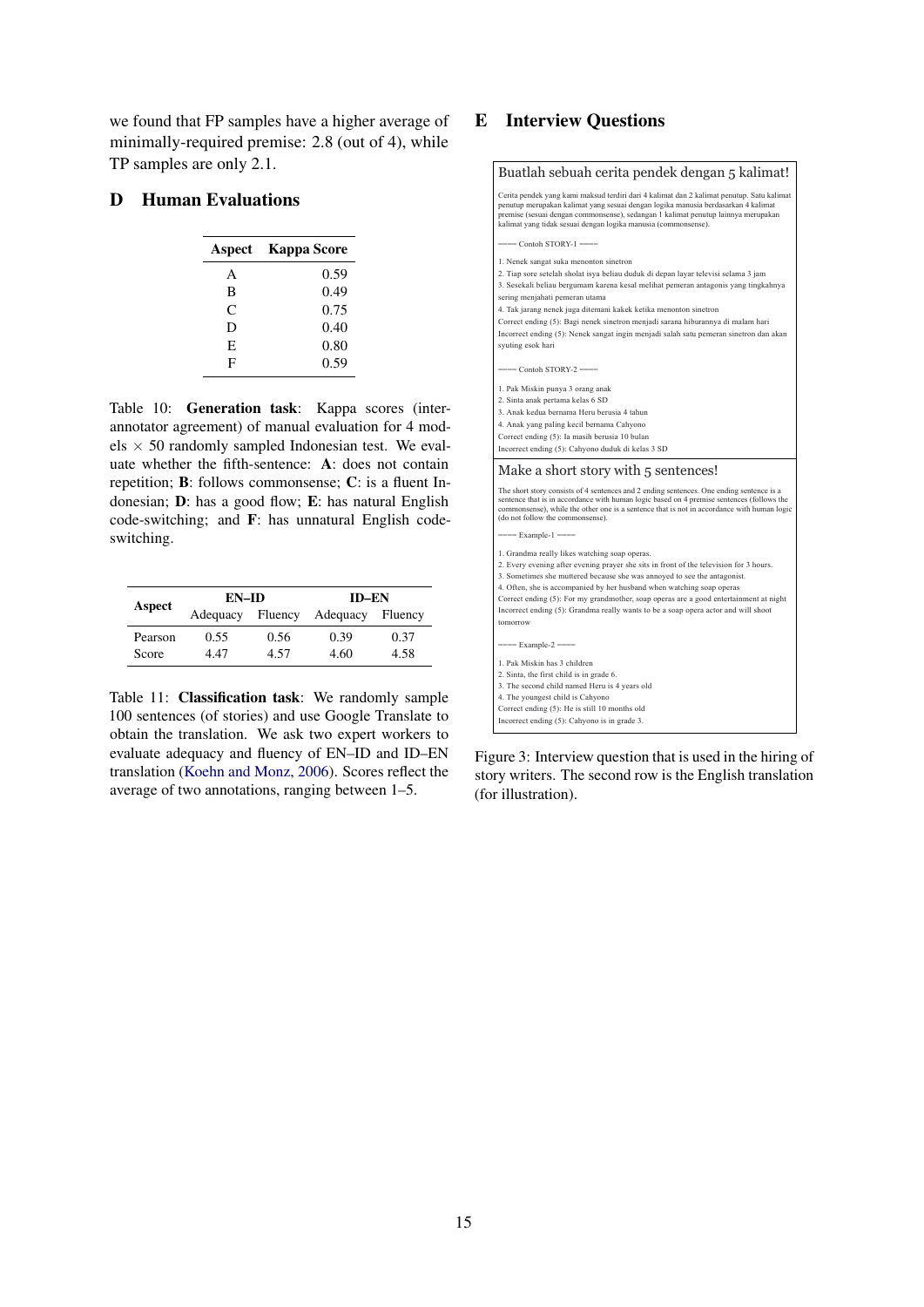we found that FP samples have a higher average of minimally-required premise: 2.8 (out of 4), while TP samples are only 2.1.

# D Human Evaluations

| Aspect | <b>Kappa Score</b> |
|--------|--------------------|
| A      | 0.59               |
| B      | 0.49               |
| C      | 0.75               |
| D      | 0.40               |
| E      | 0.80               |
| F      | 0.59               |

Table 10: Generation task: Kappa scores (interannotator agreement) of manual evaluation for 4 models  $\times$  50 randomly sampled Indonesian test. We evaluate whether the fifth-sentence: A: does not contain repetition; B: follows commonsense; C: is a fluent Indonesian; D: has a good flow; E: has natural English code-switching; and F: has unnatural English codeswitching.

|         | <b>EN-ID</b> |         | <b>ID-EN</b> |         |  |
|---------|--------------|---------|--------------|---------|--|
| Aspect  | Adequacy     | Fluency | Adequacy     | Fluency |  |
| Pearson | 0.55         | 0.56    | 0.39         | 0.37    |  |
| Score   | 4.47         | 4.57    | 4.60         | 4.58    |  |

Table 11: Classification task: We randomly sample 100 sentences (of stories) and use Google Translate to obtain the translation. We ask two expert workers to evaluate adequacy and fluency of EN–ID and ID–EN translation [\(Koehn and Monz,](#page-5-19) [2006\)](#page-5-19). Scores reflect the average of two annotations, ranging between 1–5.

# E Interview Questions



Figure 3: Interview question that is used in the hiring of story writers. The second row is the English translation (for illustration).